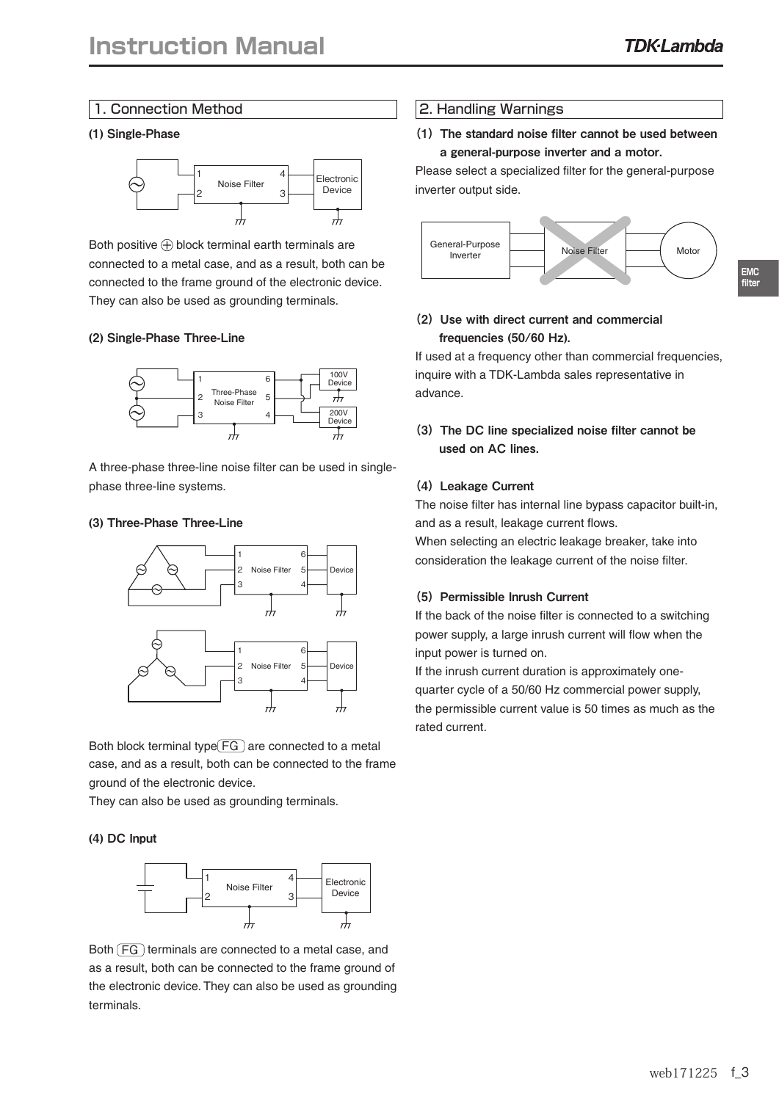**EMC filter**

## 1. Connection Method

#### (1) Single-Phase



Both positive  $\bigoplus$  block terminal earth terminals are connected to a metal case, and as a result, both can be connected to the frame ground of the electronic device. They can also be used as grounding terminals.

#### (2) Single-Phase Three-Line



A three-phase three-line noise filter can be used in singlephase three-line systems.

#### (3) Three-Phase Three-Line



Both block terminal type  $\boxed{FG}$  are connected to a metal case, and as a result, both can be connected to the frame ground of the electronic device.

They can also be used as grounding terminals.

#### (4) DC Input



Both  $\left(\overline{FG}\right)$  terminals are connected to a metal case, and as a result, both can be connected to the frame ground of the electronic device. They can also be used as grounding terminals.

## 2. Handling Warnings

## (1)The standard noise filter cannot be used between a general-purpose inverter and a motor.

Please select a specialized filter for the general-purpose inverter output side.



# (2) Use with direct current and commercial frequencies (50/60 Hz).

If used at a frequency other than commercial frequencies, inquire with a TDK-Lambda sales representative in advance.

(3)The DC line specialized noise filter cannot be used on AC lines.

#### (4) Leakage Current

The noise filter has internal line bypass capacitor built-in, and as a result, leakage current flows. When selecting an electric leakage breaker, take into consideration the leakage current of the noise filter.

#### (5) Permissible Inrush Current

If the back of the noise filter is connected to a switching power supply, a large inrush current will flow when the input power is turned on.

If the inrush current duration is approximately onequarter cycle of a 50/60 Hz commercial power supply, the permissible current value is 50 times as much as the rated current.